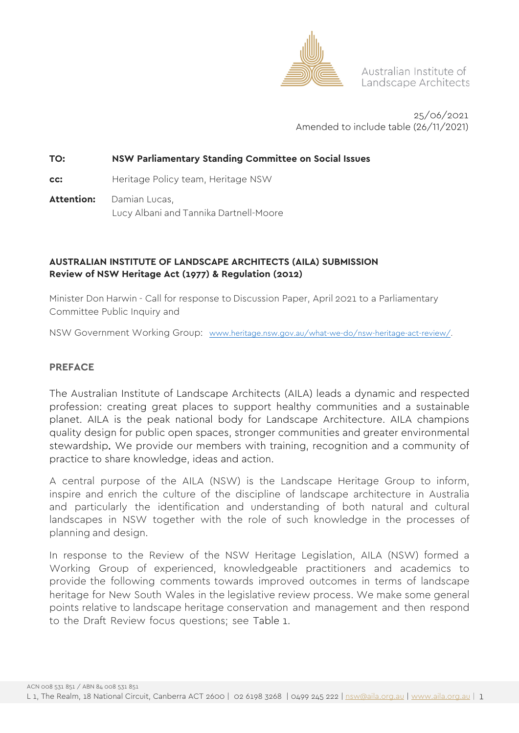

Australian Institute of Landscape Architects

25/06/2021 Amended to include table (26/11/2021)

#### **TO: NSW Parliamentary Standing Committee on Social Issues**

**cc:** Heritage Policy team, Heritage NSW

Attention: Damian Lucas, Lucy Albani and Tannika Dartnell-Moore

#### **AUSTRALIAN INSTITUTE OF LANDSCAPE ARCHITECTS (AILA) SUBMISSION Review of NSW Heritage Act (1977) & Regulation (2012)**

Minister Don Harwin - Call for response to Discussion Paper, April 2021 to a Parliamentary Committee Public Inquiry and

NSW Government Working Group: [www.heritage.nsw.gov.au/what-we-do/nsw-heritage-act-review/.](http://www.heritage.nsw.gov.au/what-we-do/nsw-heritage-act-review/)

## **PREFACE**

The Australian Institute of Landscape Architects (AILA) leads a dynamic and respected profession: creating great places to support healthy communities and a sustainable planet. AILA is the peak national body for Landscape Architecture. AILA champions quality design for public open spaces, stronger communities and greater environmental stewardship. We provide our members with training, recognition and a community of practice to share knowledge, ideas and action.

A central purpose of the AILA (NSW) is the Landscape Heritage Group to inform, inspire and enrich the culture of the discipline of landscape architecture in Australia and particularly the identification and understanding of both natural and cultural landscapes in NSW together with the role of such knowledge in the processes of planning and design.

In response to the Review of the NSW Heritage Legislation, AILA (NSW) formed a Working Group of experienced, knowledgeable practitioners and academics to provide the following comments towards improved outcomes in terms of landscape heritage for New South Wales in the legislative review process. We make some general points relative to landscape heritage conservation and management and then respond to the Draft Review focus questions; see Table 1.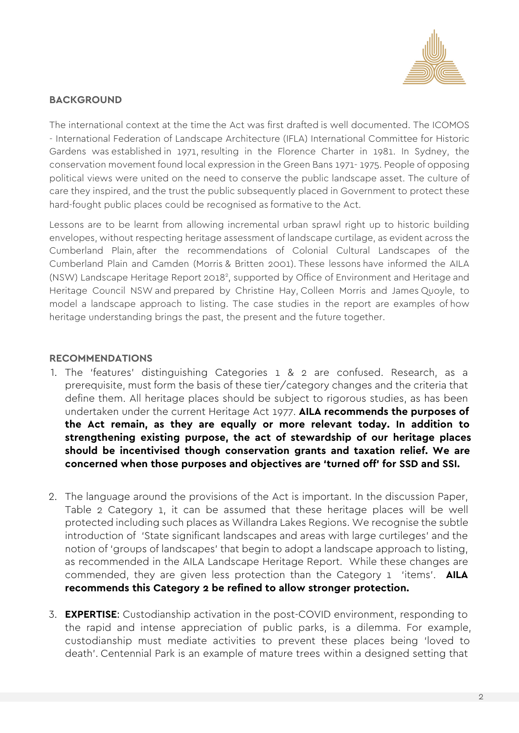

## **BACKGROUND**

The international context at the time the Act was first drafted is well documented. The ICOMOS - International Federation of Landscape Architecture (IFLA) International Committee for Historic Gardens was established in 1971, resulting in the Florence Charter in 1981. In Sydney, the conservation movement found local expression in the Green Bans 1971- 1975. People of opposing political views were united on the need to conserve the public landscape asset. The culture of care they inspired, and the trust the public subsequently placed in Government to protect these hard-fought public places could be recognised as formative to the Act.

Lessons are to be learnt from allowing incremental urban sprawl right up to historic building envelopes, without respecting heritage assessment of landscape curtilage, as evident across the Cumberland Plain, after the recommendations of Colonial Cultural Landscapes of the Cumberland Plain and Camden (Morris & Britten 2001). These lessons have informed the AILA (NSW) Landscape Heritage Report 2018<sup>2</sup>, supported by Office of Environment and Heritage and Heritage Council NSW and prepared by Christine Hay, Colleen Morris and James Quoyle, to model a landscape approach to listing. The case studies in the report are examples of how heritage understanding brings the past, the present and the future together.

## **RECOMMENDATIONS**

- 1. The 'features' distinguishing Categories 1 & 2 are confused. Research, as a prerequisite, must form the basis of these tier/category changes and the criteria that define them. All heritage places should be subject to rigorous studies, as has been undertaken under the current Heritage Act 1977. **AILA recommends the purposes of the Act remain, as they are equally or more relevant today. In addition to strengthening existing purpose, the act of stewardship of our heritage places should be incentivised though conservation grants and taxation relief. We are concerned when those purposes and objectives are 'turned off' for SSD and SSI.**
- 2. The language around the provisions of the Act is important. In the discussion Paper, Table 2 Category 1, it can be assumed that these heritage places will be well protected including such places as Willandra Lakes Regions. We recognise the subtle introduction of 'State significant landscapes and areas with large curtileges' and the notion of 'groups of landscapes' that begin to adopt a landscape approach to listing, as recommended in the AILA Landscape Heritage Report. While these changes are commended, they are given less protection than the Category 1 'items'. **AILA recommends this Category 2 be refined to allow stronger protection.**
- 3. **EXPERTISE**: Custodianship activation in the post-COVID environment, responding to the rapid and intense appreciation of public parks, is a dilemma. For example, custodianship must mediate activities to prevent these places being 'loved to death'. Centennial Park is an example of mature trees within a designed setting that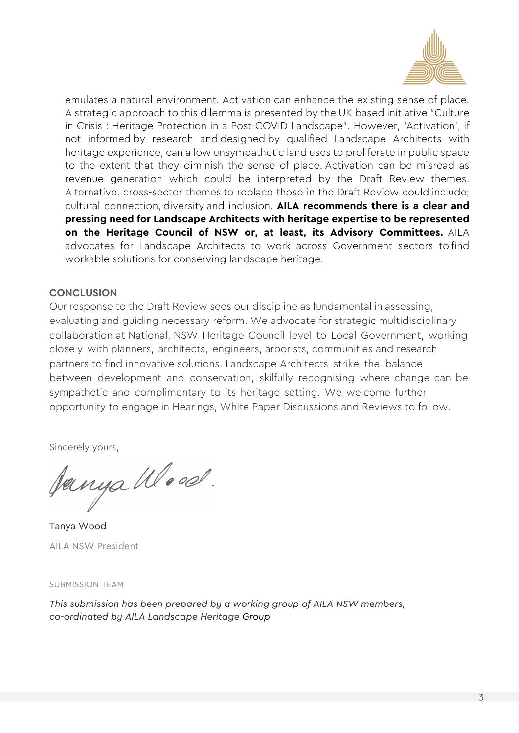

emulates a natural environment. Activation can enhance the existing sense of place. A strategic approach to this dilemma is presented by the UK based initiative "Culture in Crisis : Heritage Protection in a Post-COVID Landscape". However, 'Activation', if not informed by research and designed by qualified Landscape Architects with heritage experience, can allow unsympathetic land uses to proliferate in public space to the extent that they diminish the sense of place. Activation can be misread as revenue generation which could be interpreted by the Draft Review themes. Alternative, cross-sector themes to replace those in the Draft Review could include; cultural connection, diversity and inclusion. **AILA recommends there is a clear and pressing need for Landscape Architects with heritage expertise to be represented on the Heritage Council of NSW or, at least, its Advisory Committees.** AILA advocates for Landscape Architects to work across Government sectors to find workable solutions for conserving landscape heritage.

# **CONCLUSION**

Our response to the Draft Review sees our discipline as fundamental in assessing, evaluating and guiding necessary reform. We advocate for strategic multidisciplinary collaboration at National, NSW Heritage Council level to Local Government, working closely with planners, architects, engineers, arborists, communities and research partners to find innovative solutions. Landscape Architects strike the balance between development and conservation, skilfully recognising where change can be sympathetic and complimentary to its heritage setting. We welcome further opportunity to engage in Hearings, White Paper Discussions and Reviews to follow.

Sincerely yours,

Janya Wood.

Tanya Wood AILA NSW President

SUBMISSION TEAM

*This submission has been prepared by a working group of AILA NSW members, co-ordinated by AILA Landscape Heritage Group*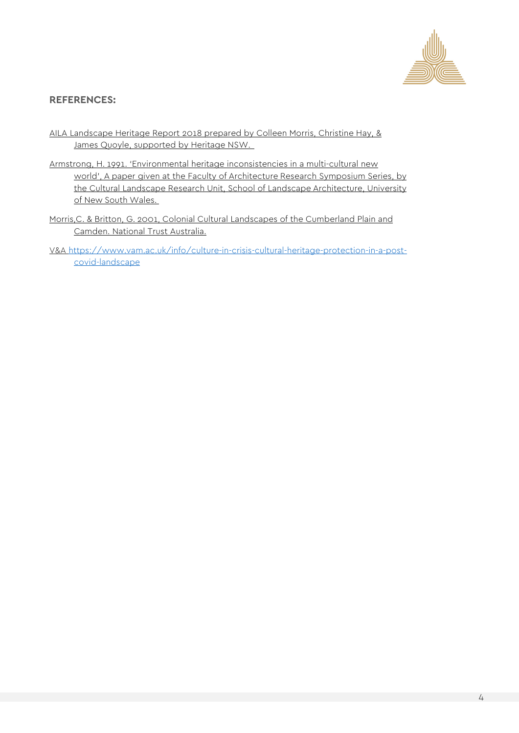

#### **REFERENCES:**

- AILA Landscape Heritage Report 2018 prepared by Colleen Morris, Christine Hay, & James Quoyle, supported by Heritage NSW.
- Armstrong, H. 1991. 'Environmental heritage inconsistencies in a multi-cultural new world', A paper given at the Faculty of Architecture Research Symposium Series, by the Cultural Landscape Research Unit, School of Landscape Architecture, University of New South Wales.
- Morris,C. & Britton, G. 2001, Colonial Cultural Landscapes of the Cumberland Plain and Camden. National Trust Australia.
- V&A [https://www.vam.ac.uk/info/culture-in-crisis-cultural-heritage-protection-in-a-post](https://www.vam.ac.uk/info/culture-in-crisis-cultural-heritage-protection-in-a-post-covid-landscape)[covid-landscape](https://www.vam.ac.uk/info/culture-in-crisis-cultural-heritage-protection-in-a-post-covid-landscape)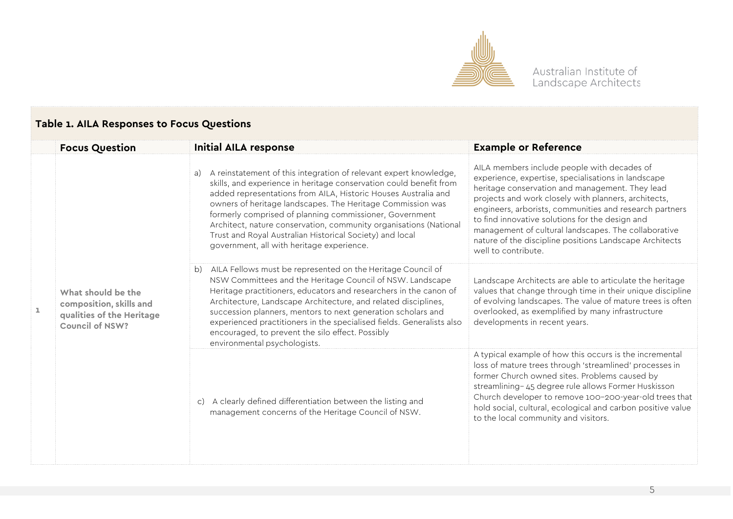

Australian Institute of<br>Landscape Architects

|   | <b>Focus Question</b>                                                                                | <b>Initial AILA response</b>                                                                                                                                                                                                                                                                                                                                                                                                                                                                                           | <b>Example or Reference</b>                                                                                                                                                                                                                                                                                                                                                                                                                                           |
|---|------------------------------------------------------------------------------------------------------|------------------------------------------------------------------------------------------------------------------------------------------------------------------------------------------------------------------------------------------------------------------------------------------------------------------------------------------------------------------------------------------------------------------------------------------------------------------------------------------------------------------------|-----------------------------------------------------------------------------------------------------------------------------------------------------------------------------------------------------------------------------------------------------------------------------------------------------------------------------------------------------------------------------------------------------------------------------------------------------------------------|
| ı | What should be the<br>composition, skills and<br>qualities of the Heritage<br><b>Council of NSW?</b> | A reinstatement of this integration of relevant expert knowledge,<br>a)<br>skills, and experience in heritage conservation could benefit from<br>added representations from AILA, Historic Houses Australia and<br>owners of heritage landscapes. The Heritage Commission was<br>formerly comprised of planning commissioner, Government<br>Architect, nature conservation, community organisations (National<br>Trust and Royal Australian Historical Society) and local<br>government, all with heritage experience. | AILA members include people with decades of<br>experience, expertise, specialisations in landscape<br>heritage conservation and management. They lead<br>projects and work closely with planners, architects,<br>engineers, arborists, communities and research partners<br>to find innovative solutions for the design and<br>management of cultural landscapes. The collaborative<br>nature of the discipline positions Landscape Architects<br>well to contribute. |
|   |                                                                                                      | AILA Fellows must be represented on the Heritage Council of<br>b)<br>NSW Committees and the Heritage Council of NSW. Landscape<br>Heritage practitioners, educators and researchers in the canon of<br>Architecture, Landscape Architecture, and related disciplines,<br>succession planners, mentors to next generation scholars and<br>experienced practitioners in the specialised fields. Generalists also<br>encouraged, to prevent the silo effect. Possibly<br>environmental psychologists.                     | Landscape Architects are able to articulate the heritage<br>values that change through time in their unique discipline<br>of evolving landscapes. The value of mature trees is often<br>overlooked, as exemplified by many infrastructure<br>developments in recent years.                                                                                                                                                                                            |
|   |                                                                                                      | c) A clearly defined differentiation between the listing and<br>management concerns of the Heritage Council of NSW.                                                                                                                                                                                                                                                                                                                                                                                                    | A typical example of how this occurs is the incremental<br>loss of mature trees through 'streamlined' processes in<br>former Church owned sites. Problems caused by<br>streamlining- 45 degree rule allows Former Huskisson<br>Church developer to remove 100-200-year-old trees that<br>hold social, cultural, ecological and carbon positive value<br>to the local community and visitors.                                                                          |

# **Table 1. AILA Responses to Focus Questions**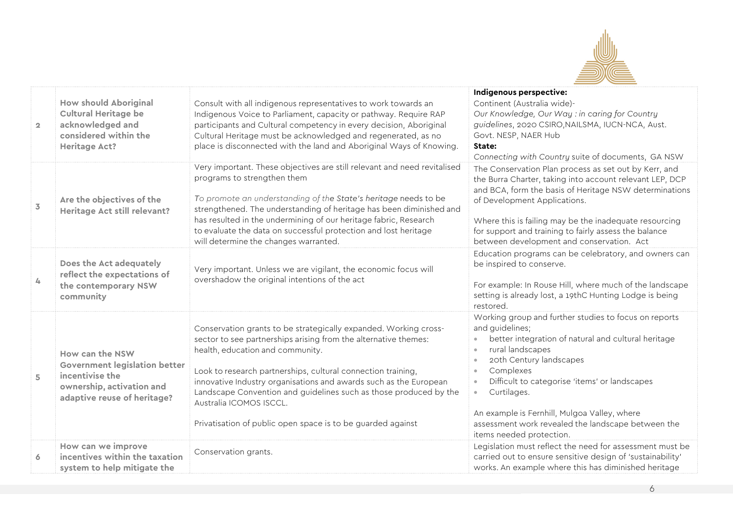

| $\overline{2}$         | <b>How should Aboriginal</b><br><b>Cultural Heritage be</b><br>acknowledged and<br>considered within the<br><b>Heritage Act?</b>       | Consult with all indigenous representatives to work towards an<br>Indigenous Voice to Parliament, capacity or pathway. Require RAP<br>participants and Cultural competency in every decision, Aboriginal<br>Cultural Heritage must be acknowledged and regenerated, as no<br>place is disconnected with the land and Aboriginal Ways of Knowing.                                                                                                                            | Indigenous perspective:<br>Continent (Australia wide)-<br>Our Knowledge, Our Way: in caring for Country<br>guidelines, 2020 CSIRO, NAILSMA, IUCN-NCA, Aust.<br>Govt. NESP, NAER Hub<br>State:<br>Connecting with Country suite of documents, GA NSW                                                                                                                                                                                                              |
|------------------------|----------------------------------------------------------------------------------------------------------------------------------------|-----------------------------------------------------------------------------------------------------------------------------------------------------------------------------------------------------------------------------------------------------------------------------------------------------------------------------------------------------------------------------------------------------------------------------------------------------------------------------|------------------------------------------------------------------------------------------------------------------------------------------------------------------------------------------------------------------------------------------------------------------------------------------------------------------------------------------------------------------------------------------------------------------------------------------------------------------|
| $\overline{3}$         | Are the objectives of the<br><b>Heritage Act still relevant?</b>                                                                       | Very important. These objectives are still relevant and need revitalised<br>programs to strengthen them<br>To promote an understanding of the State's heritage needs to be<br>strengthened. The understanding of heritage has been diminished and<br>has resulted in the undermining of our heritage fabric, Research<br>to evaluate the data on successful protection and lost heritage<br>will determine the changes warranted.                                           | The Conservation Plan process as set out by Kerr, and<br>the Burra Charter, taking into account relevant LEP, DCP<br>and BCA, form the basis of Heritage NSW determinations<br>of Development Applications.<br>Where this is failing may be the inadequate resourcing<br>for support and training to fairly assess the balance<br>between development and conservation. Act                                                                                      |
| $\mathcal{L}_{\vdash}$ | Does the Act adequately<br>reflect the expectations of<br>the contemporary NSW<br>community                                            | Very important. Unless we are vigilant, the economic focus will<br>overshadow the original intentions of the act                                                                                                                                                                                                                                                                                                                                                            | Education programs can be celebratory, and owners can<br>be inspired to conserve.<br>For example: In Rouse Hill, where much of the landscape<br>setting is already lost, a 19thC Hunting Lodge is being<br>restored.                                                                                                                                                                                                                                             |
| 5                      | How can the NSW<br><b>Government legislation better</b><br>incentivise the<br>ownership, activation and<br>adaptive reuse of heritage? | Conservation grants to be strategically expanded. Working cross-<br>sector to see partnerships arising from the alternative themes:<br>health, education and community.<br>Look to research partnerships, cultural connection training,<br>innovative Industry organisations and awards such as the European<br>Landscape Convention and guidelines such as those produced by the<br>Australia ICOMOS ISCCL.<br>Privatisation of public open space is to be guarded against | Working group and further studies to focus on reports<br>and guidelines;<br>better integration of natural and cultural heritage<br>rural landscapes<br>$\bullet$<br>20th Century landscapes<br>$\bullet$<br>Complexes<br>$\bullet$<br>Difficult to categorise 'items' or landscapes<br>$\bullet$<br>Curtilages.<br>$\bullet$ .<br>An example is Fernhill, Mulgoa Valley, where<br>assessment work revealed the landscape between the<br>items needed protection. |
| 6                      | How can we improve<br>incentives within the taxation<br>system to help mitigate the                                                    | Conservation grants.                                                                                                                                                                                                                                                                                                                                                                                                                                                        | Legislation must reflect the need for assessment must be<br>carried out to ensure sensitive design of 'sustainability'<br>works. An example where this has diminished heritage                                                                                                                                                                                                                                                                                   |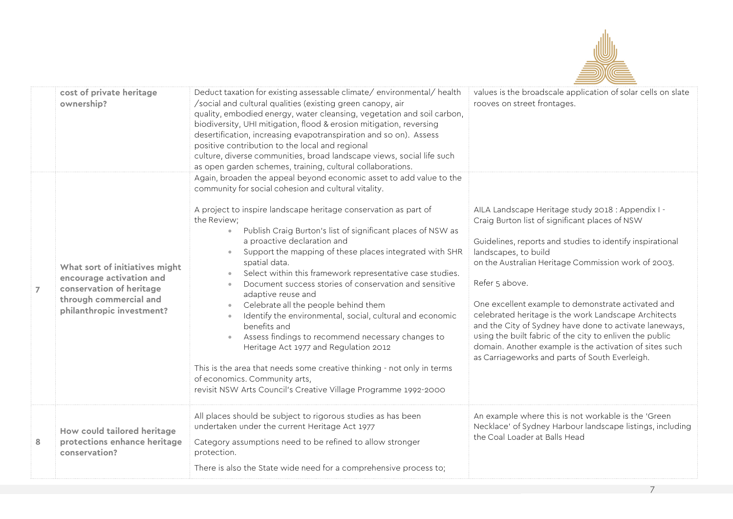

|                | cost of private heritage<br>ownership?                                                                                                        | Deduct taxation for existing assessable climate/environmental/health<br>/social and cultural qualities (existing green canopy, air<br>quality, embodied energy, water cleansing, vegetation and soil carbon,<br>biodiversity, UHI mitigation, flood & erosion mitigation, reversing<br>desertification, increasing evapotranspiration and so on). Assess<br>positive contribution to the local and regional<br>culture, diverse communities, broad landscape views, social life such<br>as open garden schemes, training, cultural collaborations.                                                                                                                                                                                                                                                                                                                                                                                                              | values is the broadscale application of solar cells on slate<br>rooves on street frontages.                                                                                                                                                                                                                                                                                                                                                                                                                                                                                                                        |
|----------------|-----------------------------------------------------------------------------------------------------------------------------------------------|-----------------------------------------------------------------------------------------------------------------------------------------------------------------------------------------------------------------------------------------------------------------------------------------------------------------------------------------------------------------------------------------------------------------------------------------------------------------------------------------------------------------------------------------------------------------------------------------------------------------------------------------------------------------------------------------------------------------------------------------------------------------------------------------------------------------------------------------------------------------------------------------------------------------------------------------------------------------|--------------------------------------------------------------------------------------------------------------------------------------------------------------------------------------------------------------------------------------------------------------------------------------------------------------------------------------------------------------------------------------------------------------------------------------------------------------------------------------------------------------------------------------------------------------------------------------------------------------------|
| $\overline{7}$ | What sort of initiatives might<br>encourage activation and<br>conservation of heritage<br>through commercial and<br>philanthropic investment? | Again, broaden the appeal beyond economic asset to add value to the<br>community for social cohesion and cultural vitality.<br>A project to inspire landscape heritage conservation as part of<br>the Review;<br>Publish Craig Burton's list of significant places of NSW as<br>$\bullet$<br>a proactive declaration and<br>Support the mapping of these places integrated with SHR<br>spatial data.<br>Select within this framework representative case studies.<br>Document success stories of conservation and sensitive<br>adaptive reuse and<br>Celebrate all the people behind them<br>Identify the environmental, social, cultural and economic<br>benefits and<br>Assess findings to recommend necessary changes to<br>$\bullet$<br>Heritage Act 1977 and Regulation 2012<br>This is the area that needs some creative thinking - not only in terms<br>of economics. Community arts,<br>revisit NSW Arts Council's Creative Village Programme 1992-2000 | AILA Landscape Heritage study 2018 : Appendix I -<br>Craig Burton list of significant places of NSW<br>Guidelines, reports and studies to identify inspirational<br>landscapes, to build<br>on the Australian Heritage Commission work of 2003.<br>Refer 5 above.<br>One excellent example to demonstrate activated and<br>celebrated heritage is the work Landscape Architects<br>and the City of Sydney have done to activate laneways,<br>using the built fabric of the city to enliven the public<br>domain. Another example is the activation of sites such<br>as Carriageworks and parts of South Everleigh. |
| 8              | How could tailored heritage<br>protections enhance heritage<br>conservation?                                                                  | All places should be subject to rigorous studies as has been<br>undertaken under the current Heritage Act 1977<br>Category assumptions need to be refined to allow stronger<br>protection.<br>There is also the State wide need for a comprehensive process to;                                                                                                                                                                                                                                                                                                                                                                                                                                                                                                                                                                                                                                                                                                 | An example where this is not workable is the 'Green<br>Necklace' of Sydney Harbour landscape listings, including<br>the Coal Loader at Balls Head                                                                                                                                                                                                                                                                                                                                                                                                                                                                  |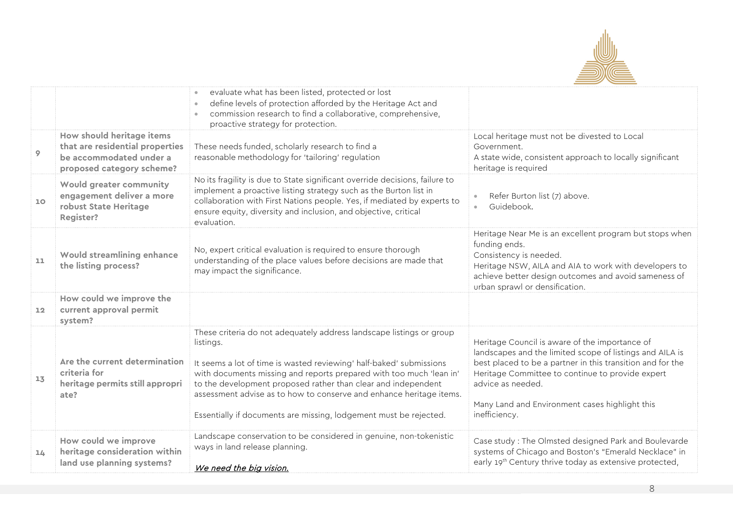

|     |                                                                                                                      | evaluate what has been listed, protected or lost<br>$\bullet$<br>define levels of protection afforded by the Heritage Act and<br>$\bullet$<br>commission research to find a collaborative, comprehensive,<br>proactive strategy for protection.                                                                                                                                                                                              |                                                                                                                                                                                                                                                                                                                      |
|-----|----------------------------------------------------------------------------------------------------------------------|----------------------------------------------------------------------------------------------------------------------------------------------------------------------------------------------------------------------------------------------------------------------------------------------------------------------------------------------------------------------------------------------------------------------------------------------|----------------------------------------------------------------------------------------------------------------------------------------------------------------------------------------------------------------------------------------------------------------------------------------------------------------------|
| 9   | How should heritage items<br>that are residential properties<br>be accommodated under a<br>proposed category scheme? | These needs funded, scholarly research to find a<br>reasonable methodology for 'tailoring' regulation                                                                                                                                                                                                                                                                                                                                        | Local heritage must not be divested to Local<br>Government.<br>A state wide, consistent approach to locally significant<br>heritage is required                                                                                                                                                                      |
| 10  | Would greater community<br>engagement deliver a more<br>robust State Heritage<br>Register?                           | No its fragility is due to State significant override decisions, failure to<br>implement a proactive listing strategy such as the Burton list in<br>collaboration with First Nations people. Yes, if mediated by experts to<br>ensure equity, diversity and inclusion, and objective, critical<br>evaluation.                                                                                                                                | Refer Burton list (7) above.<br>Guidebook.                                                                                                                                                                                                                                                                           |
| 11  | Would streamlining enhance<br>the listing process?                                                                   | No, expert critical evaluation is required to ensure thorough<br>understanding of the place values before decisions are made that<br>may impact the significance.                                                                                                                                                                                                                                                                            | Heritage Near Me is an excellent program but stops when<br>funding ends.<br>Consistency is needed.<br>Heritage NSW, AILA and AIA to work with developers to<br>achieve better design outcomes and avoid sameness of<br>urban sprawl or densification.                                                                |
| 12  | How could we improve the<br>current approval permit<br>system?                                                       |                                                                                                                                                                                                                                                                                                                                                                                                                                              |                                                                                                                                                                                                                                                                                                                      |
| 13  | Are the current determination<br>criteria for<br>heritage permits still appropri<br>ate?                             | These criteria do not adequately address landscape listings or group<br>listings.<br>It seems a lot of time is wasted reviewing' half-baked' submissions<br>with documents missing and reports prepared with too much 'lean in'<br>to the development proposed rather than clear and independent<br>assessment advise as to how to conserve and enhance heritage items.<br>Essentially if documents are missing, lodgement must be rejected. | Heritage Council is aware of the importance of<br>landscapes and the limited scope of listings and AILA is<br>best placed to be a partner in this transition and for the<br>Heritage Committee to continue to provide expert<br>advice as needed.<br>Many Land and Environment cases highlight this<br>inefficiency. |
| 1/4 | How could we improve<br>heritage consideration within<br>land use planning systems?                                  | Landscape conservation to be considered in genuine, non-tokenistic<br>ways in land release planning.<br>We need the big vision.                                                                                                                                                                                                                                                                                                              | Case study: The Olmsted designed Park and Boulevarde<br>systems of Chicago and Boston's "Emerald Necklace" in<br>early 19th Century thrive today as extensive protected,                                                                                                                                             |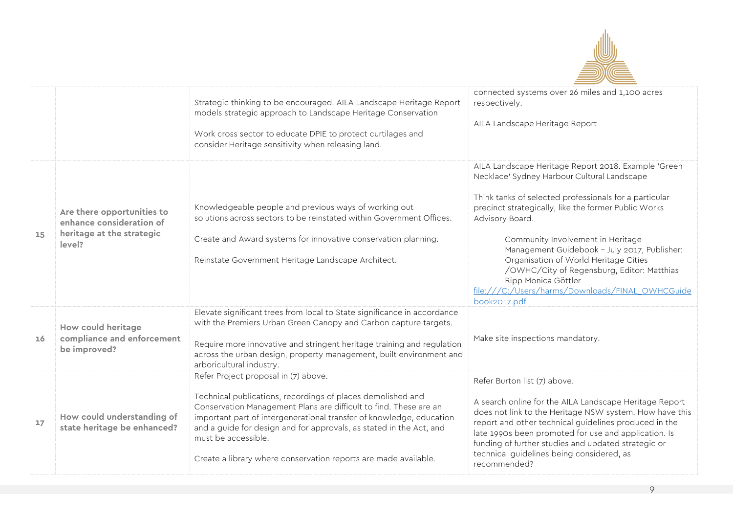

|    |                                                                                               | Strategic thinking to be encouraged. AILA Landscape Heritage Report<br>models strategic approach to Landscape Heritage Conservation<br>Work cross sector to educate DPIE to protect curtilages and<br>consider Heritage sensitivity when releasing land.                                                                                                                                                          | connected systems over 26 miles and 1,100 acres<br>respectively.<br>AILA Landscape Heritage Report                                                                                                                                                                                                                                                                                                                                                                                                             |
|----|-----------------------------------------------------------------------------------------------|-------------------------------------------------------------------------------------------------------------------------------------------------------------------------------------------------------------------------------------------------------------------------------------------------------------------------------------------------------------------------------------------------------------------|----------------------------------------------------------------------------------------------------------------------------------------------------------------------------------------------------------------------------------------------------------------------------------------------------------------------------------------------------------------------------------------------------------------------------------------------------------------------------------------------------------------|
| 15 | Are there opportunities to<br>enhance consideration of<br>heritage at the strategic<br>level? | Knowledgeable people and previous ways of working out<br>solutions across sectors to be reinstated within Government Offices.<br>Create and Award systems for innovative conservation planning.<br>Reinstate Government Heritage Landscape Architect.                                                                                                                                                             | AILA Landscape Heritage Report 2018. Example 'Green<br>Necklace' Sydney Harbour Cultural Landscape<br>Think tanks of selected professionals for a particular<br>precinct strategically, like the former Public Works<br>Advisory Board.<br>Community Involvement in Heritage<br>Management Guidebook - July 2017, Publisher:<br>Organisation of World Heritage Cities<br>/OWHC/City of Regensburg, Editor: Matthias<br>Ripp Monica Göttler<br>file:///C:/Users/harms/Downloads/FINAL OWHCGuide<br>book2017.pdf |
| 16 | <b>How could heritage</b><br>compliance and enforcement<br>be improved?                       | Elevate significant trees from local to State significance in accordance<br>with the Premiers Urban Green Canopy and Carbon capture targets.<br>Require more innovative and stringent heritage training and regulation<br>across the urban design, property management, built environment and<br>arboricultural industry.                                                                                         | Make site inspections mandatory.                                                                                                                                                                                                                                                                                                                                                                                                                                                                               |
| 17 | How could understanding of<br>state heritage be enhanced?                                     | Refer Project proposal in (7) above.<br>Technical publications, recordings of places demolished and<br>Conservation Management Plans are difficult to find. These are an<br>important part of intergenerational transfer of knowledge, education<br>and a guide for design and for approvals, as stated in the Act, and<br>must be accessible.<br>Create a library where conservation reports are made available. | Refer Burton list (7) above.<br>A search online for the AILA Landscape Heritage Report<br>does not link to the Heritage NSW system. How have this<br>report and other technical guidelines produced in the<br>late 1990s been promoted for use and application. Is<br>funding of further studies and updated strategic or<br>technical guidelines being considered, as<br>recommended?                                                                                                                         |